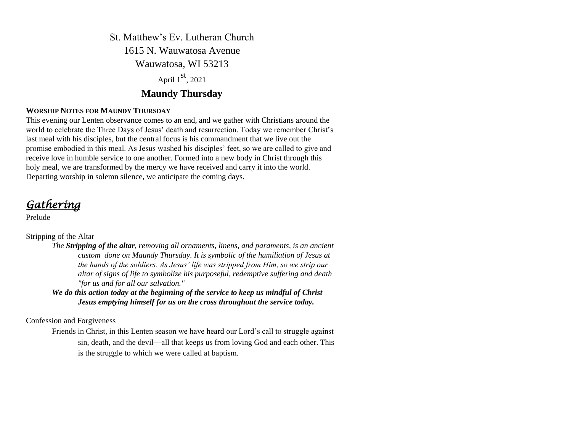St. Matthew's Ev. Lutheran Church 1615 N. Wauwatosa Avenue Wauwatosa, WI 53213 April 1<sup>st</sup>, 2021 **Maundy Thursday**

# **WORSHIP NOTES FOR MAUNDY THURSDAY**

This evening our Lenten observance comes to an end, and we gather with Christians around the world to celebrate the Three Days of Jesus' death and resurrection. Today we remember Christ's last meal with his disciples, but the central focus is his commandment that we live out the promise embodied in this meal. As Jesus washed his disciples' feet, so we are called to give and receive love in humble service to one another. Formed into a new body in Christ through this holy meal, we are transformed by the mercy we have received and carry it into the world. Departing worship in solemn silence, we anticipate the coming days.

*Gathering* 

Prelude

## Stripping of the Altar

*The Stripping of the altar, removing all ornaments, linens, and [paraments,](https://www.bing.com/search?q=Parament&filters=sid%3a37cb9765-e814-5ee9-5efe-afd664af61c3&form=ENTLNK) is an ancient custom done on [Maundy Thursday.](https://www.bing.com/search?q=Maundy+Thursday&filters=sid%3a28c90b9e-32e3-a2cf-060c-8f78ac228b79&form=ENTLNK) It is symbolic of the humiliation of Jesus at the hands of the soldiers. As Jesus' life was stripped from Him, so we strip our altar of signs of life to symbolize his purposeful, redemptive suffering and death "for us and for all our salvation."*

*We do this action today at the beginning of the service to keep us mindful of Christ Jesus emptying himself for us on the cross throughout the service today.* 

Confession and Forgiveness

Friends in Christ, in this Lenten season we have heard our Lord's call to struggle against sin, death, and the devil—all that keeps us from loving God and each other. This is the struggle to which we were called at baptism.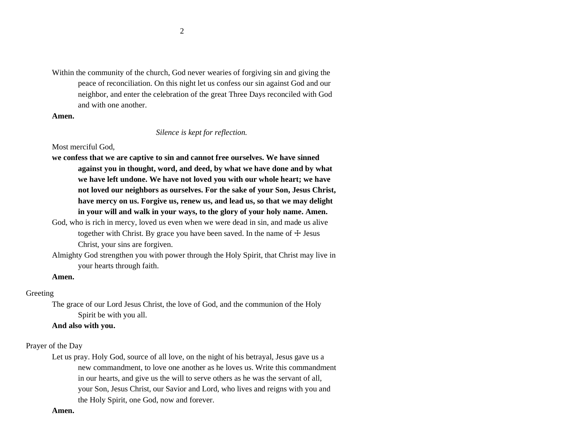Within the community of the church, God never wearies of forgiving sin and giving the peace of reconciliation. On this night let us confess our sin against God and our neighbor, and enter the celebration of the great Three Days reconciled with God and with one another.

### **Amen.**

### *Silence is kept for reflection.*

## Most merciful God,

- **we confess that we are captive to sin and cannot free ourselves. We have sinned against you in thought, word, and deed, by what we have done and by what we have left undone. We have not loved you with our whole heart; we have not loved our neighbors as ourselves. For the sake of your Son, Jesus Christ, have mercy on us. Forgive us, renew us, and lead us, so that we may delight in your will and walk in your ways, to the glory of your holy name. Amen.**
- God, who is rich in mercy, loved us even when we were dead in sin, and made us alive together with Christ. By grace you have been saved. In the name of  $\pm$  Jesus Christ, your sins are forgiven.
- Almighty God strengthen you with power through the Holy Spirit, that Christ may live in your hearts through faith.

## **Amen.**

## Greeting

The grace of our Lord Jesus Christ, the love of God, and the communion of the Holy Spirit be with you all.

### **And also with you.**

## Prayer of the Day

Let us pray. Holy God, source of all love, on the night of his betrayal, Jesus gave us a new commandment, to love one another as he loves us. Write this commandment in our hearts, and give us the will to serve others as he was the servant of all, your Son, Jesus Christ, our Savior and Lord, who lives and reigns with you and the Holy Spirit, one God, now and forever.

### **Amen.**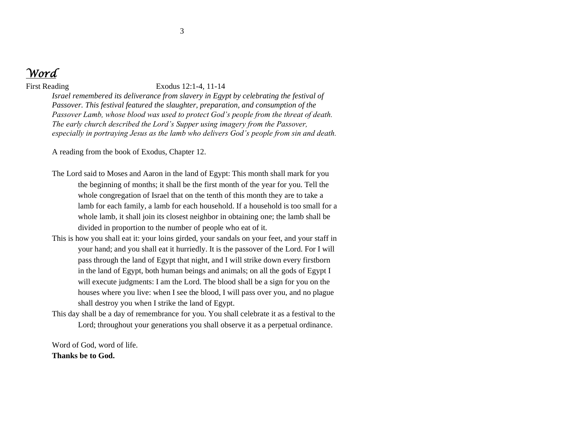

### First Reading Exodus 12:1-4, 11-14

*Israel remembered its deliverance from slavery in Egypt by celebrating the festival of Passover. This festival featured the slaughter, preparation, and consumption of the Passover Lamb, whose blood was used to protect God's people from the threat of death. The early church described the Lord's Supper using imagery from the Passover, especially in portraying Jesus as the lamb who delivers God's people from sin and death.* 

A reading from the book of Exodus, Chapter 12.

- The Lord said to Moses and Aaron in the land of Egypt: This month shall mark for you the beginning of months; it shall be the first month of the year for you. Tell the whole congregation of Israel that on the tenth of this month they are to take a lamb for each family, a lamb for each household. If a household is too small for a whole lamb, it shall join its closest neighbor in obtaining one; the lamb shall be divided in proportion to the number of people who eat of it.
- This is how you shall eat it: your loins girded, your sandals on your feet, and your staff in your hand; and you shall eat it hurriedly. It is the passover of the Lord. For I will pass through the land of Egypt that night, and I will strike down every firstborn in the land of Egypt, both human beings and animals; on all the gods of Egypt I will execute judgments: I am the Lord. The blood shall be a sign for you on the houses where you live: when I see the blood, I will pass over you, and no plague shall destroy you when I strike the land of Egypt.
- This day shall be a day of remembrance for you. You shall celebrate it as a festival to the Lord; throughout your generations you shall observe it as a perpetual ordinance.

Word of God, word of life. **Thanks be to God.**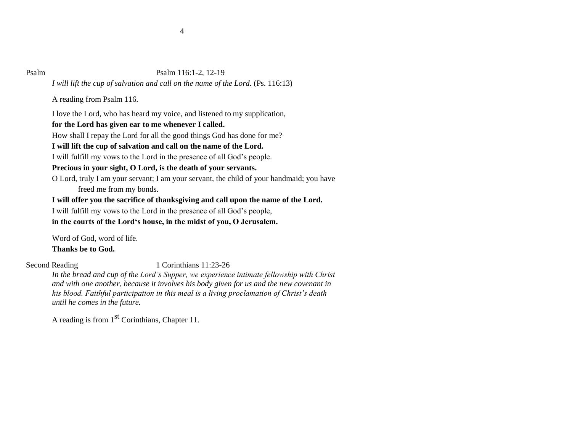## Psalm Psalm 116:1-2, 12-19

*I will lift the cup of salvation and call on the name of the Lord.* (Ps. 116:13)

A reading from Psalm 116.

I love the Lord, who has heard my voice, and listened to my supplication,

# **for the Lord has given ear to me whenever I called.**

How shall I repay the Lord for all the good things God has done for me?

# **I will lift the cup of salvation and call on the name of the Lord.**

I will fulfill my vows to the Lord in the presence of all God's people.

# **Precious in your sight, O Lord, is the death of your servants.**

O Lord, truly I am your servant; I am your servant, the child of your handmaid; you have freed me from my bonds.

**I will offer you the sacrifice of thanksgiving and call upon the name of the Lord.**

I will fulfill my vows to the Lord in the presence of all God's people,

**in the courts of the Lord's house, in the midst of you, O Jerusalem.**

Word of God, word of life. **Thanks be to God.**

## Second Reading 1 Corinthians 11:23-26

*In the bread and cup of the Lord's Supper, we experience intimate fellowship with Christ and with one another, because it involves his body given for us and the new covenant in his blood. Faithful participation in this meal is a living proclamation of Christ's death until he comes in the future.*

A reading is from  $1<sup>st</sup>$  Corinthians, Chapter 11.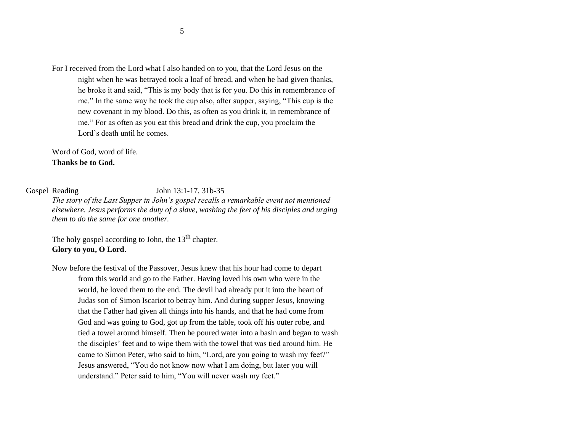For I received from the Lord what I also handed on to you, that the Lord Jesus on the night when he was betrayed took a loaf of bread, and when he had given thanks, he broke it and said, "This is my body that is for you. Do this in remembrance of me." In the same way he took the cup also, after supper, saying, "This cup is the new covenant in my blood. Do this, as often as you drink it, in remembrance of me." For as often as you eat this bread and drink the cup, you proclaim the Lord's death until he comes.

Word of God, word of life. **Thanks be to God.**

Gospel Reading John 13:1-17, 31b-35

*The story of the Last Supper in John's gospel recalls a remarkable event not mentioned elsewhere. Jesus performs the duty of a slave, washing the feet of his disciples and urging them to do the same for one another.*

The holy gospel according to John, the  $13<sup>th</sup>$  chapter. **Glory to you, O Lord.**

Now before the festival of the Passover, Jesus knew that his hour had come to depart from this world and go to the Father. Having loved his own who were in the world, he loved them to the end. The devil had already put it into the heart of Judas son of Simon Iscariot to betray him. And during supper Jesus, knowing that the Father had given all things into his hands, and that he had come from God and was going to God, got up from the table, took off his outer robe, and tied a towel around himself. Then he poured water into a basin and began to wash the disciples' feet and to wipe them with the towel that was tied around him. He came to Simon Peter, who said to him, "Lord, are you going to wash my feet?" Jesus answered, "You do not know now what I am doing, but later you will understand." Peter said to him, "You will never wash my feet."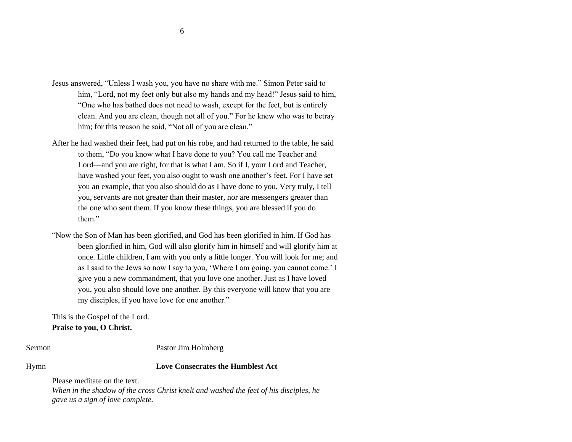- Jesus answered, "Unless I wash you, you have no share with me." Simon Peter said to him, "Lord, not my feet only but also my hands and my head!" Jesus said to him, "One who has bathed does not need to wash, except for the feet, but is entirely clean. And you are clean, though not all of you." For he knew who was to betray him; for this reason he said, "Not all of you are clean."
- After he had washed their feet, had put on his robe, and had returned to the table, he said to them, "Do you know what I have done to you? You call me Teacher and Lord—and you are right, for that is what I am. So if I, your Lord and Teacher, have washed your feet, you also ought to wash one another's feet. For I have set you an example, that you also should do as I have done to you. Very truly, I tell you, servants are not greater than their master, nor are messengers greater than the one who sent them. If you know these things, you are blessed if you do them."
- "Now the Son of Man has been glorified, and God has been glorified in him. If God has been glorified in him, God will also glorify him in himself and will glorify him at once. Little children, I am with you only a little longer. You will look for me; and as I said to the Jews so now I say to you, 'Where I am going, you cannot come.' I give you a new commandment, that you love one another. Just as I have loved you, you also should love one another. By this everyone will know that you are my disciples, if you have love for one another."

This is the Gospel of the Lord. **Praise to you, O Christ.**

Sermon Pastor Jim Holmberg

Hymn **Love Consecrates the Humblest Act**

Please meditate on the text.

*When in the shadow of the cross Christ knelt and washed the feet of his disciples, he gave us a sign of love complete.*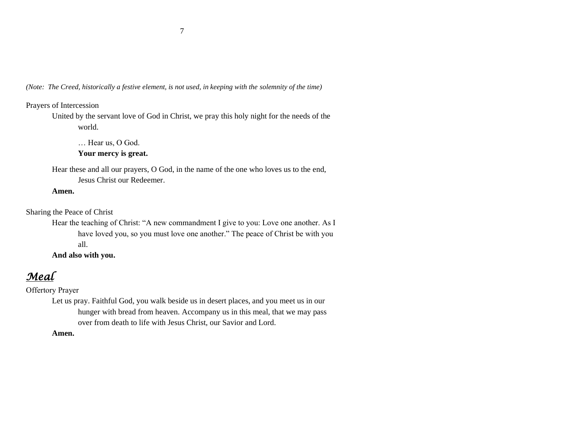*(Note: The Creed, historically a festive element, is not used, in keeping with the solemnity of the time)*

# Prayers of Intercession

United by the servant love of God in Christ, we pray this holy night for the needs of the world.

… Hear us, O God. **Your mercy is great.**

Hear these and all our prayers, O God, in the name of the one who loves us to the end, Jesus Christ our Redeemer.

## **Amen.**

Sharing the Peace of Christ

Hear the teaching of Christ: "A new commandment I give to you: Love one another. As I have loved you, so you must love one another." The peace of Christ be with you all.

**And also with you.**

*Meal*

Offertory Prayer

Let us pray. Faithful God, you walk beside us in desert places, and you meet us in our hunger with bread from heaven. Accompany us in this meal, that we may pass over from death to life with Jesus Christ, our Savior and Lord.

**Amen.**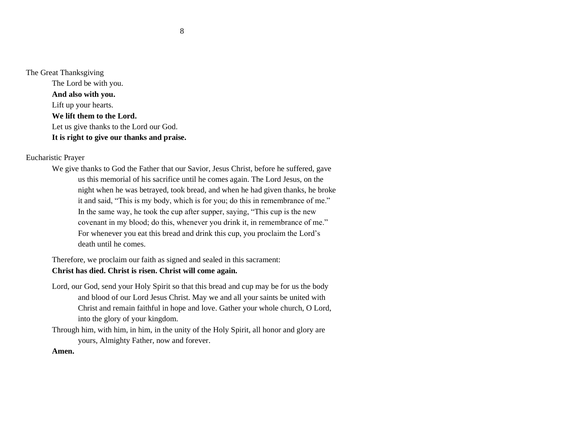The Great Thanksgiving The Lord be with you. **And also with you.** Lift up your hearts. **We lift them to the Lord.** Let us give thanks to the Lord our God. **It is right to give our thanks and praise.**

Eucharistic Prayer

We give thanks to God the Father that our Savior, Jesus Christ, before he suffered, gave us this memorial of his sacrifice until he comes again. The Lord Jesus, on the night when he was betrayed, took bread, and when he had given thanks, he broke it and said, "This is my body, which is for you; do this in remembrance of me." In the same way, he took the cup after supper, saying, "This cup is the new covenant in my blood; do this, whenever you drink it, in remembrance of me." For whenever you eat this bread and drink this cup, you proclaim the Lord's death until he comes.

Therefore, we proclaim our faith as signed and sealed in this sacrament: **Christ has died. Christ is risen. Christ will come again.**

- Lord, our God, send your Holy Spirit so that this bread and cup may be for us the body and blood of our Lord Jesus Christ. May we and all your saints be united with Christ and remain faithful in hope and love. Gather your whole church, O Lord, into the glory of your kingdom.
- Through him, with him, in him, in the unity of the Holy Spirit, all honor and glory are yours, Almighty Father, now and forever.

**Amen.**

8